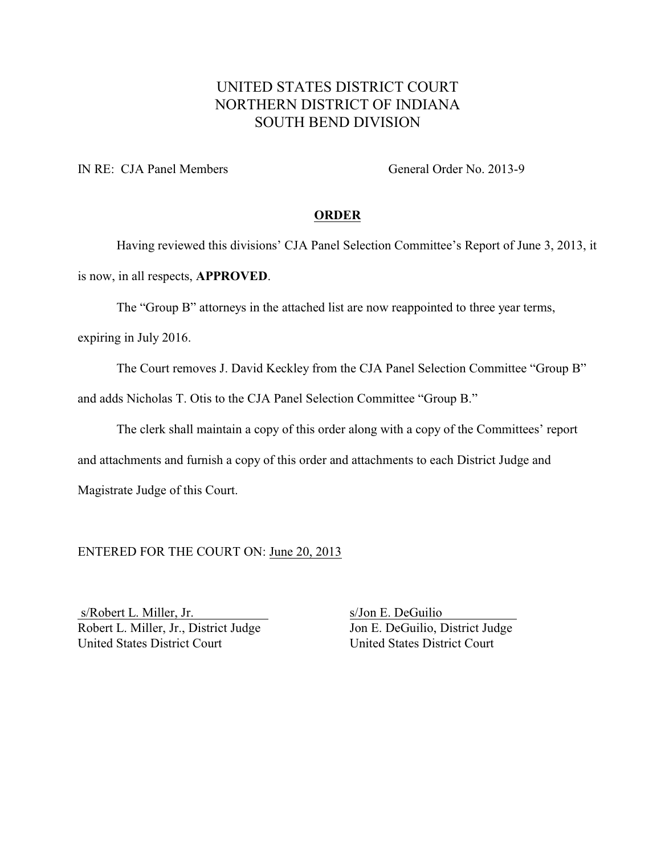# UNITED STATES DISTRICT COURT NORTHERN DISTRICT OF INDIANA SOUTH BEND DIVISION

IN RE: CJA Panel Members General Order No. 2013-9

### **ORDER**

Having reviewed this divisions' CJA Panel Selection Committee's Report of June 3, 2013, it is now, in all respects, **APPROVED**.

The "Group B" attorneys in the attached list are now reappointed to three year terms,

expiring in July 2016.

The Court removes J. David Keckley from the CJA Panel Selection Committee "Group B"

and adds Nicholas T. Otis to the CJA Panel Selection Committee "Group B."

The clerk shall maintain a copy of this order along with a copy of the Committees' report

and attachments and furnish a copy of this order and attachments to each District Judge and

Magistrate Judge of this Court.

ENTERED FOR THE COURT ON: June 20, 2013

s/Robert L. Miller, Jr. s/Jon E. DeGuilio Robert L. Miller, Jr., District Judge<br>
United States District Court<br>
United States District Court<br>
United States District Court United States District Court